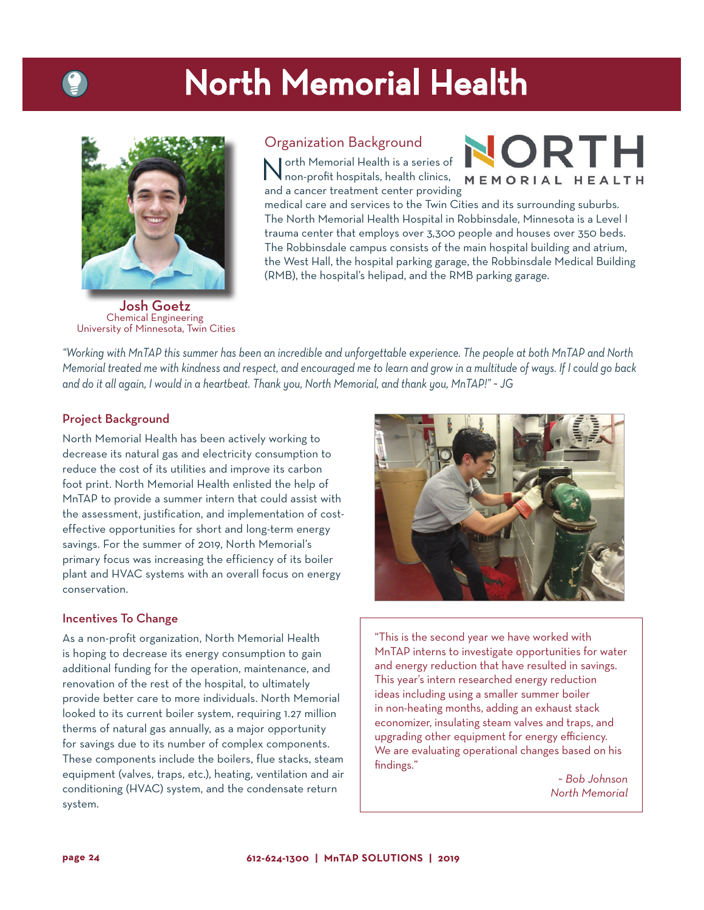## North Memorial Health



Organization Background

orth Memorial Health is a series of non-profit hospitals, health clinics, and a cancer treatment center providing

NORTH MEMORIAL HEALTH

medical care and services to the Twin Cities and its surrounding suburbs. The North Memorial Health Hospital in Robbinsdale, Minnesota is a Level I trauma center that employs over 3,300 people and houses over 350 beds. The Robbinsdale campus consists of the main hospital building and atrium, the West Hall, the hospital parking garage, the Robbinsdale Medical Building (RMB), the hospital's helipad, and the RMB parking garage.

Josh Goetz Chemical Engineering University of Minnesota, Twin Cities

*"Working with MnTAP this summer has been an incredible and unforgettable experience. The people at both MnTAP and North Memorial treated me with kindness and respect, and encouraged me to learn and grow in a multitude of ways. If I could go back and do it all again, I would in a heartbeat. Thank you, North Memorial, and thank you, MnTAP!" ~ JG*

### Project Background

North Memorial Health has been actively working to decrease its natural gas and electricity consumption to reduce the cost of its utilities and improve its carbon foot print. North Memorial Health enlisted the help of MnTAP to provide a summer intern that could assist with the assessment, justification, and implementation of costeffective opportunities for short and long-term energy savings. For the summer of 2019, North Memorial's primary focus was increasing the efficiency of its boiler plant and HVAC systems with an overall focus on energy conservation.

#### Incentives To Change

As a non-profit organization, North Memorial Health is hoping to decrease its energy consumption to gain additional funding for the operation, maintenance, and renovation of the rest of the hospital, to ultimately provide better care to more individuals. North Memorial looked to its current boiler system, requiring 1.27 million therms of natural gas annually, as a major opportunity for savings due to its number of complex components. These components include the boilers, flue stacks, steam equipment (valves, traps, etc.), heating, ventilation and air conditioning (HVAC) system, and the condensate return system.



"This is the second year we have worked with MnTAP interns to investigate opportunities for water and energy reduction that have resulted in savings. This year's intern researched energy reduction ideas including using a smaller summer boiler in non-heating months, adding an exhaust stack economizer, insulating steam valves and traps, and upgrading other equipment for energy efficiency. We are evaluating operational changes based on his findings."

> *~ Bob Johnson North Memorial*